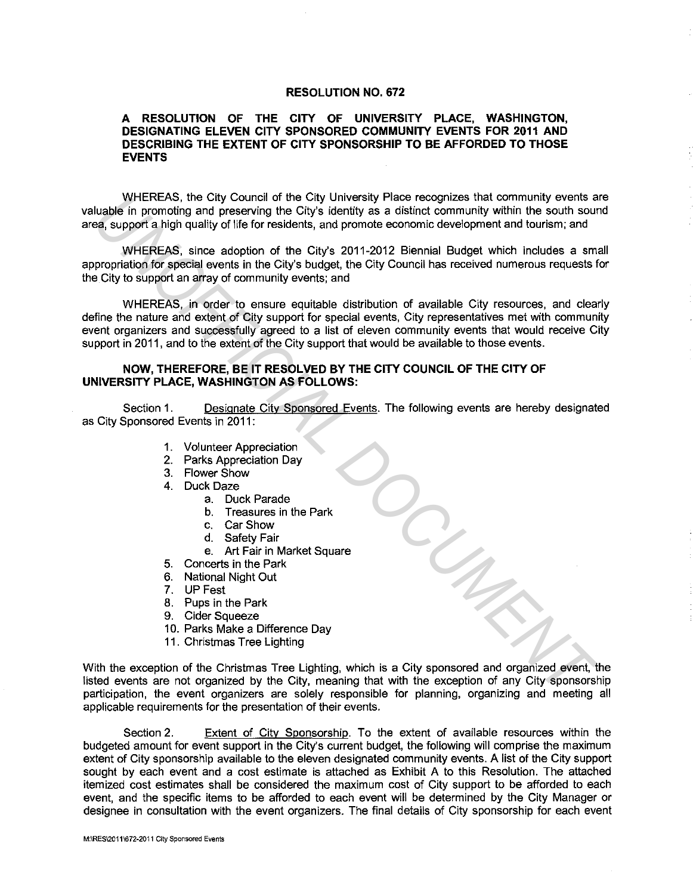## **RESOLUTION NO. 672**

## **A RESOLUTION OF THE CITY OF UNIVERSITY PLACE, WASHINGTON, DESIGNATING ELEVEN CITY SPONSORED COMMUNITY EVENTS FOR 2011 AND DESCRIBING THE EXTENT OF CITY SPONSORSHIP TO BE AFFORDED TO THOSE EVENTS**

WHEREAS, the City Council of the City University Place recognizes that community events are valuable in promoting and preserving the City's identity as a distinct community within the south sound area, support a high quality of life for residents, and promote economic development and tourism; and

WHEREAS, since adoption of the City's 2011-2012 Biennial Budget which includes a small appropriation for special events in the City's budget, the City Council has received numerous requests for the City to support an array of community events; and

WHEREAS, in order to ensure equitable distribution of available City resources, and clearly define the nature and extent of City support for special events, City representatives met with community event organizers and successfully agreed to a list of eleven community events that would receive City support in 2011, and to the extent of the City support that would be available to those events. WHERERS, the City Council of the City thievasts and compines that community which a<br>say support a high quality of life for residents, and promote economic development and burdism; and<br>
get upport a high quality of life for

## **NOW, THEREFORE, BE IT RESOLVED BY THE CITY COUNCIL OF THE CITY OF UNIVERSITY PLACE, WASHINGTON AS FOLLOWS:**

Section 1. Designate City Sponsored Events. The following events are hereby designated as City Sponsored Events in 2011:

- 1. Volunteer Appreciation
- 2. Parks Appreciation Day
- 3. Flower Show
- 4. Duck Daze
	- a. Duck Parade
	- b. Treasures in the Park
	- c. CarShow
	- d. Safety Fair
	- e. Art Fair in Market Square
- 5. Concerts in the Park
- 6. National Night Out
- 7. UP Fest
- 8. Pups in the Park
- 9. Cider Squeeze
- 10. Parks Make a Difference Day
- 11. Christmas Tree Lighting

With the exception of the Christmas Tree Lighting, which is a City sponsored and organized event, the listed events are not organized by the City, meaning that with the exception of any City sponsorship participation, the event organizers are solely responsible for planning, organizing and meeting all applicable requirements for the presentation of their events.

Section 2. Extent of City Sponsorship. To the extent of available resources within the budgeted amount for event support in the City's current budget, the following will comprise the maximum extent of City sponsorship available to the eleven designated community events. A list of the City support sought by each event and a cost estimate is attached as Exhibit A to this Resolution. The attached itemized cost estimates shall be considered the maximum cost of City support to be afforded to each event, and the specific items to be afforded to each event will be determined by the City Manager or designee in consultation with the event organizers. The final details of City sponsorship for each event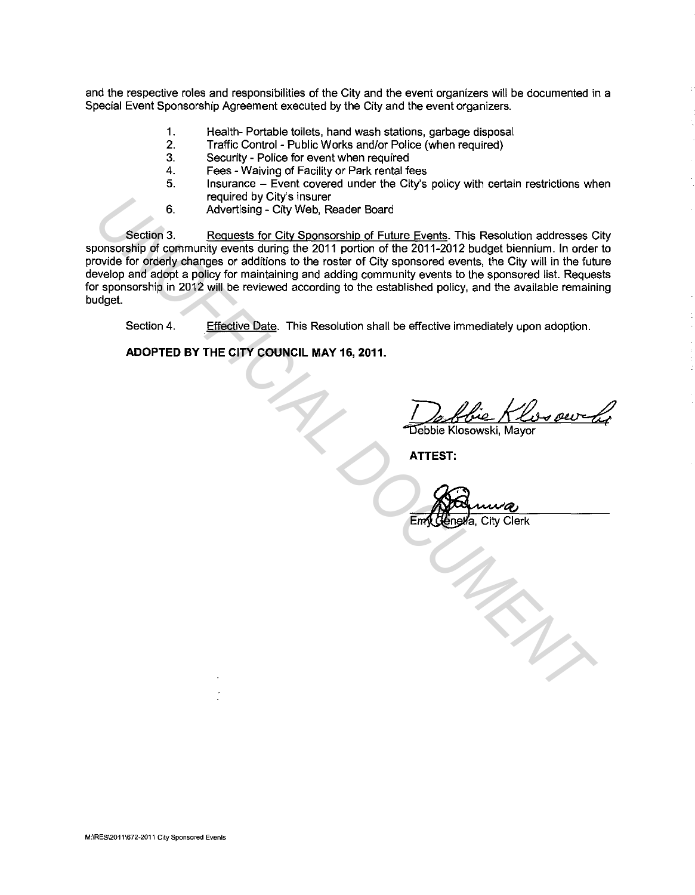and the respective roles and responsibilities of the City and the event organizers will be documented in a Special Event Sponsorship Agreement executed by the City and the event organizers.

- 1. Health- Portable toilets, hand wash stations, garbage disposal
- 2. Traffic Control Public Works and/or Police (when required)
- 3. Security Police for event when required
- 4. Fees Waiving of Facility or Park rental fees
- 5. Insurance Event covered under the City's policy with certain restrictions when required by City's insurer
- 6. Advertising City Web, Reader Board

Section 3. Requests for City Sponsorship of Future Events. This Resolution addresses City sponsorship of community events during the 2011 portion of the 2011-2012 budget biennium. In order to provide for orderly changes or additions to the roster of City sponsored events, the City will in the future develop and adopt a policy for maintaining and adding community events to the sponsored list. Requests for sponsorship in 2012 will be reviewed according to the established policy, and the available remaining budget. 6. Programs by Citys insular Board Section 3. Requests for City Sponsorship of Future Events. This Resolution addresses on a sponsorship of Equilibrical Documents, the City spin profession covide for orderly changes or add

Section 4. Effective Date. This Resolution shall be effective immediately upon adoption.

**ADOPTED BY THE CITY COUNCIL MAY 16, 2011.** 

<u>De flue Klessour</u>

**ATTEST:** 

Emy Genera, City Clerk